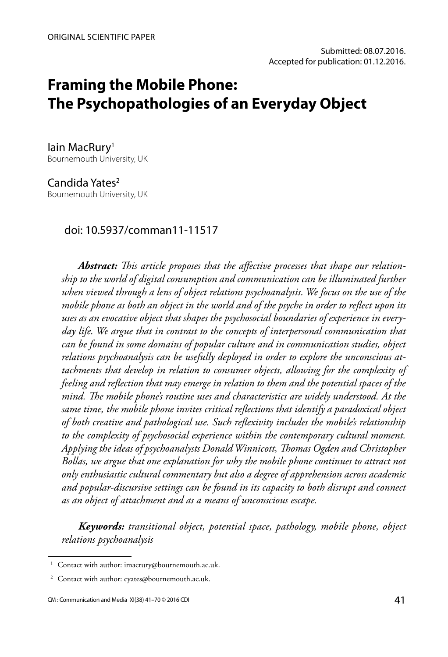# **Framing the Mobile Phone: The Psychopathologies of an Everyday Object**

lain MacRury<sup>1</sup> Bournemouth University, UK

Candida Yates<sup>2</sup> Bournemouth University, UK

#### doi: 10.5937/comman11-11517

*Abstract: This article proposes that the affective processes that shape our relationship to the world of digital consumption and communication can be illuminated further when viewed through a lens of object relations psychoanalysis. We focus on the use of the mobile phone as both an object in the world and of the psyche in order to reflect upon its uses as an evocative object that shapes the psychosocial boundaries of experience in everyday life. We argue that in contrast to the concepts of interpersonal communication that can be found in some domains of popular culture and in communication studies, object relations psychoanalysis can be usefully deployed in order to explore the unconscious attachments that develop in relation to consumer objects, allowing for the complexity of feeling and reflection that may emerge in relation to them and the potential spaces of the mind. The mobile phone's routine uses and characteristics are widely understood. At the same time, the mobile phone invites critical reflections that identify a paradoxical object of both creative and pathological use. Such reflexivity includes the mobile's relationship to the complexity of psychosocial experience within the contemporary cultural moment. Applying the ideas of psychoanalysts Donald Winnicott, Thomas Ogden and Christopher Bollas, we argue that one explanation for why the mobile phone continues to attract not only enthusiastic cultural commentary but also a degree of apprehension across academic and popular-discursive settings can be found in its capacity to both disrupt and connect as an object of attachment and as a means of unconscious escape.*

*Keywords: transitional object, potential space, pathology, mobile phone, object relations psychoanalysis* 

<sup>&</sup>lt;sup>1</sup> Contact with author: imacrury@bournemouth.ac.uk.

<sup>&</sup>lt;sup>2</sup> Contact with author: cyates@bournemouth.ac.uk.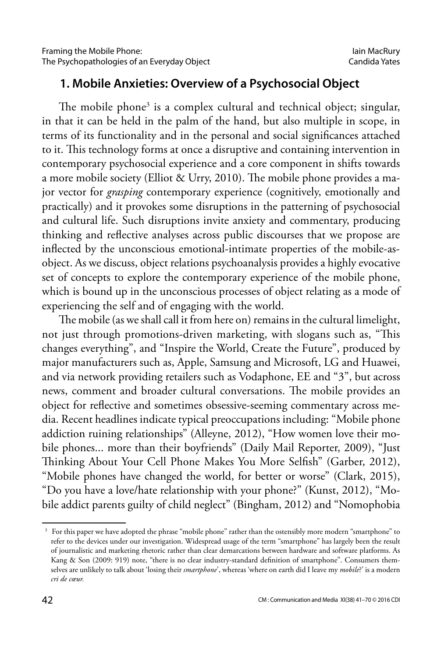#### **1. Mobile Anxieties: Overview of a Psychosocial Object**

The mobile phone<sup>3</sup> is a complex cultural and technical object; singular, in that it can be held in the palm of the hand, but also multiple in scope, in terms of its functionality and in the personal and social significances attached to it. This technology forms at once a disruptive and containing intervention in contemporary psychosocial experience and a core component in shifts towards a more mobile society (Elliot & Urry, 2010). The mobile phone provides a major vector for *grasping* contemporary experience (cognitively, emotionally and practically) and it provokes some disruptions in the patterning of psychosocial and cultural life. Such disruptions invite anxiety and commentary, producing thinking and reflective analyses across public discourses that we propose are inflected by the unconscious emotional-intimate properties of the mobile-asobject. As we discuss, object relations psychoanalysis provides a highly evocative set of concepts to explore the contemporary experience of the mobile phone, which is bound up in the unconscious processes of object relating as a mode of experiencing the self and of engaging with the world.

The mobile (as we shall call it from here on) remains in the cultural limelight, not just through promotions-driven marketing, with slogans such as, "This changes everything", and "Inspire the World, Create the Future", produced by major manufacturers such as, Apple, Samsung and Microsoft, LG and Huawei, and via network providing retailers such as Vodaphone, EE and "3", but across news, comment and broader cultural conversations. The mobile provides an object for reflective and sometimes obsessive-seeming commentary across media. Recent headlines indicate typical preoccupations including: "Mobile phone addiction ruining relationships" (Alleyne, 2012), "How women love their mobile phones... more than their boyfriends" (Daily Mail Reporter, 2009), "Just Thinking About Your Cell Phone Makes You More Selfish" (Garber, 2012), "Mobile phones have changed the world, for better or worse" (Clark, 2015), "Do you have a love/hate relationship with your phone?" (Kunst, 2012), "Mobile addict parents guilty of child neglect" (Bingham, 2012) and "Nomophobia

<sup>&</sup>lt;sup>3</sup> For this paper we have adopted the phrase "mobile phone" rather than the ostensibly more modern "smartphone" to refer to the devices under our investigation. Widespread usage of the term "smartphone" has largely been the result of journalistic and marketing rhetoric rather than clear demarcations between hardware and software platforms. As Kang & Son (2009: 919) note, "there is no clear industry-standard definition of smartphone". Consumers themselves are unlikely to talk about 'losing their *smartphone*', whereas 'where on earth did I leave my *mobile*?' is a modern *cri de cœur.*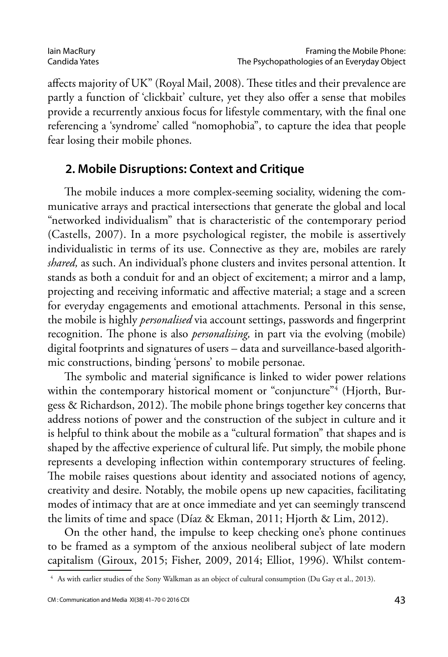affects majority of UK" (Royal Mail, 2008). These titles and their prevalence are partly a function of 'clickbait' culture, yet they also offer a sense that mobiles provide a recurrently anxious focus for lifestyle commentary, with the final one referencing a 'syndrome' called "nomophobia", to capture the idea that people fear losing their mobile phones.

#### **2. Mobile Disruptions: Context and Critique**

The mobile induces a more complex-seeming sociality, widening the communicative arrays and practical intersections that generate the global and local "networked individualism" that is characteristic of the contemporary period (Castells, 2007). In a more psychological register, the mobile is assertively individualistic in terms of its use. Connective as they are, mobiles are rarely *shared,* as such. An individual's phone clusters and invites personal attention. It stands as both a conduit for and an object of excitement; a mirror and a lamp, projecting and receiving informatic and affective material; a stage and a screen for everyday engagements and emotional attachments. Personal in this sense, the mobile is highly *personalised* via account settings, passwords and fingerprint recognition. The phone is also *personalising,* in part via the evolving (mobile) digital footprints and signatures of users – data and surveillance-based algorithmic constructions, binding 'persons' to mobile personae.

The symbolic and material significance is linked to wider power relations within the contemporary historical moment or "conjuncture"4 (Hjorth, Burgess & Richardson, 2012). The mobile phone brings together key concerns that address notions of power and the construction of the subject in culture and it is helpful to think about the mobile as a "cultural formation" that shapes and is shaped by the affective experience of cultural life. Put simply, the mobile phone represents a developing inflection within contemporary structures of feeling. The mobile raises questions about identity and associated notions of agency, creativity and desire. Notably, the mobile opens up new capacities, facilitating modes of intimacy that are at once immediate and yet can seemingly transcend the limits of time and space (Díaz & Ekman, 2011; Hjorth & Lim, 2012).

On the other hand, the impulse to keep checking one's phone continues to be framed as a symptom of the anxious neoliberal subject of late modern capitalism (Giroux, 2015; Fisher, 2009, 2014; Elliot, 1996). Whilst contem-

<sup>4</sup> As with earlier studies of the Sony Walkman as an object of cultural consumption (Du Gay et al., 2013).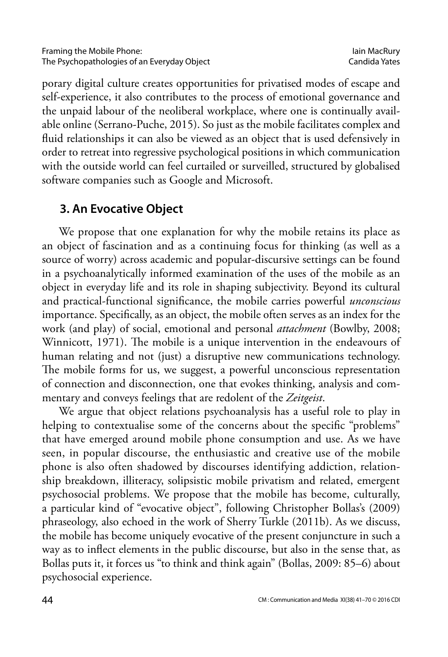porary digital culture creates opportunities for privatised modes of escape and self-experience, it also contributes to the process of emotional governance and the unpaid labour of the neoliberal workplace, where one is continually available online (Serrano-Puche, 2015). So just as the mobile facilitates complex and fluid relationships it can also be viewed as an object that is used defensively in order to retreat into regressive psychological positions in which communication with the outside world can feel curtailed or surveilled, structured by globalised software companies such as Google and Microsoft.

## **3. An Evocative Object**

We propose that one explanation for why the mobile retains its place as an object of fascination and as a continuing focus for thinking (as well as a source of worry) across academic and popular-discursive settings can be found in a psychoanalytically informed examination of the uses of the mobile as an object in everyday life and its role in shaping subjectivity. Beyond its cultural and practical-functional significance, the mobile carries powerful *unconscious* importance. Specifically, as an object, the mobile often serves as an index for the work (and play) of social, emotional and personal *attachment* (Bowlby, 2008; Winnicott, 1971). The mobile is a unique intervention in the endeavours of human relating and not (just) a disruptive new communications technology. The mobile forms for us, we suggest, a powerful unconscious representation of connection and disconnection, one that evokes thinking, analysis and commentary and conveys feelings that are redolent of the *Zeitgeist*.

We argue that object relations psychoanalysis has a useful role to play in helping to contextualise some of the concerns about the specific "problems" that have emerged around mobile phone consumption and use. As we have seen, in popular discourse, the enthusiastic and creative use of the mobile phone is also often shadowed by discourses identifying addiction, relationship breakdown, illiteracy, solipsistic mobile privatism and related, emergent psychosocial problems. We propose that the mobile has become, culturally, a particular kind of "evocative object", following Christopher Bollas's (2009) phraseology, also echoed in the work of Sherry Turkle (2011b). As we discuss, the mobile has become uniquely evocative of the present conjuncture in such a way as to inflect elements in the public discourse, but also in the sense that, as Bollas puts it, it forces us "to think and think again" (Bollas, 2009: 85–6) about psychosocial experience.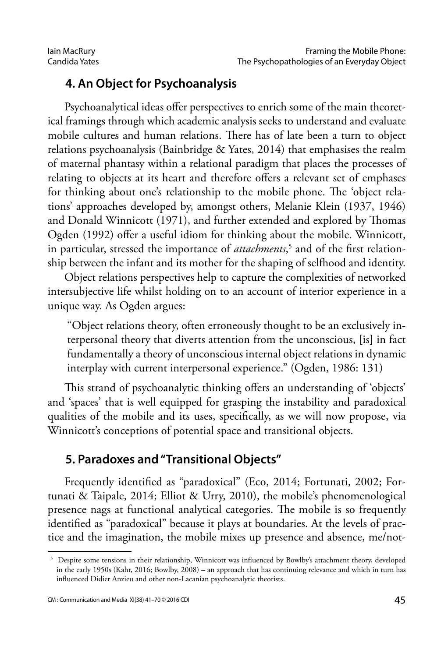## **4. An Object for Psychoanalysis**

Psychoanalytical ideas offer perspectives to enrich some of the main theoretical framings through which academic analysis seeks to understand and evaluate mobile cultures and human relations. There has of late been a turn to object relations psychoanalysis (Bainbridge & Yates, 2014) that emphasises the realm of maternal phantasy within a relational paradigm that places the processes of relating to objects at its heart and therefore offers a relevant set of emphases for thinking about one's relationship to the mobile phone. The 'object relations' approaches developed by, amongst others, Melanie Klein (1937, 1946) and Donald Winnicott (1971), and further extended and explored by Thomas Ogden (1992) offer a useful idiom for thinking about the mobile. Winnicott, in particular, stressed the importance of *attachments*, 5 and of the first relationship between the infant and its mother for the shaping of selfhood and identity.

Object relations perspectives help to capture the complexities of networked intersubjective life whilst holding on to an account of interior experience in a unique way. As Ogden argues:

"Object relations theory, often erroneously thought to be an exclusively interpersonal theory that diverts attention from the unconscious, [is] in fact fundamentally a theory of unconscious internal object relations in dynamic interplay with current interpersonal experience." (Ogden, 1986: 131)

This strand of psychoanalytic thinking offers an understanding of 'objects' and 'spaces' that is well equipped for grasping the instability and paradoxical qualities of the mobile and its uses, specifically, as we will now propose, via Winnicott's conceptions of potential space and transitional objects.

### **5. Paradoxes and "Transitional Objects"**

Frequently identified as "paradoxical" (Eco, 2014; Fortunati, 2002; Fortunati & Taipale, 2014; Elliot & Urry, 2010), the mobile's phenomenological presence nags at functional analytical categories. The mobile is so frequently identified as "paradoxical" because it plays at boundaries. At the levels of practice and the imagination, the mobile mixes up presence and absence, me/not-

<sup>5</sup> Despite some tensions in their relationship, Winnicott was influenced by Bowlby's attachment theory, developed in the early 1950s (Kahr, 2016; Bowlby, 2008) – an approach that has continuing relevance and which in turn has influenced Didier Anzieu and other non-Lacanian psychoanalytic theorists.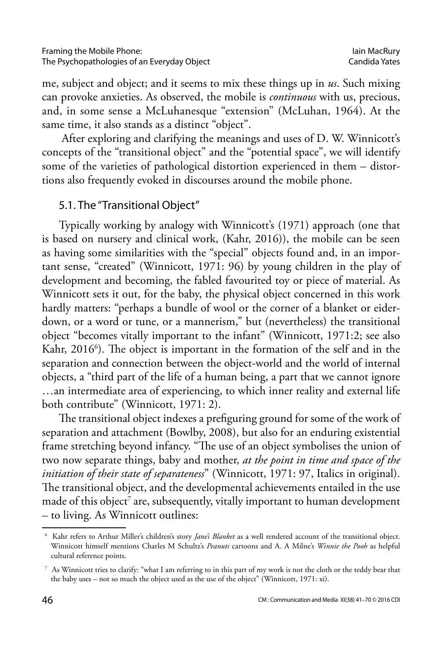me, subject and object; and it seems to mix these things up in *us*. Such mixing can provoke anxieties. As observed, the mobile is *continuous* with us, precious, and, in some sense a McLuhanesque "extension" (McLuhan, 1964). At the same time, it also stands as a distinct "object".

 After exploring and clarifying the meanings and uses of D. W. Winnicott's concepts of the "transitional object" and the "potential space", we will identify some of the varieties of pathological distortion experienced in them – distortions also frequently evoked in discourses around the mobile phone.

#### 5.1. The "Transitional Object"

Typically working by analogy with Winnicott's (1971) approach (one that is based on nursery and clinical work, (Kahr, 2016)), the mobile can be seen as having some similarities with the "special" objects found and, in an important sense, "created" (Winnicott, 1971: 96) by young children in the play of development and becoming, the fabled favourited toy or piece of material. As Winnicott sets it out, for the baby, the physical object concerned in this work hardly matters: "perhaps a bundle of wool or the corner of a blanket or eiderdown, or a word or tune, or a mannerism," but (nevertheless) the transitional object "becomes vitally important to the infant" (Winnicott, 1971:2; see also Kahr, 2016<sup>6</sup>). The object is important in the formation of the self and in the separation and connection between the object-world and the world of internal objects, a "third part of the life of a human being, a part that we cannot ignore …an intermediate area of experiencing, to which inner reality and external life both contribute" (Winnicott, 1971: 2).

The transitional object indexes a prefiguring ground for some of the work of separation and attachment (Bowlby, 2008), but also for an enduring existential frame stretching beyond infancy. "The use of an object symbolises the union of two now separate things, baby and mother, *at the point in time and space of the initiation of their state of separateness*" (Winnicott, 1971: 97, Italics in original). The transitional object, and the developmental achievements entailed in the use made of this object $^\tau$  are, subsequently, vitally important to human development – to living. As Winnicott outlines:

<sup>6</sup> Kahr refers to Arthur Miller's children's story *Jane's Blanket* as a well rendered account of the transitional object. Winnicott himself mentions Charles M Schultz's *Peanuts* cartoons and A. A Milne's *Winnie the Pooh* as helpful cultural reference points.

<sup>7</sup> As Winnicott tries to clarify: "what I am referring to in this part of my work is not the cloth or the teddy bear that the baby uses – not so much the object used as the use of the object" (Winnicott, 1971: xi).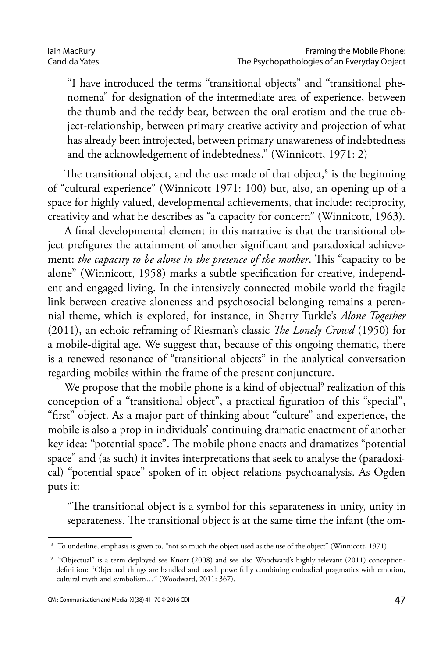"I have introduced the terms "transitional objects" and "transitional phenomena" for designation of the intermediate area of experience, between the thumb and the teddy bear, between the oral erotism and the true object-relationship, between primary creative activity and projection of what has already been introjected, between primary unawareness of indebtedness and the acknowledgement of indebtedness." (Winnicott, 1971: 2)

The transitional object, and the use made of that object, $^8$  is the beginning of "cultural experience" (Winnicott 1971: 100) but, also, an opening up of a space for highly valued, developmental achievements, that include: reciprocity, creativity and what he describes as "a capacity for concern" (Winnicott, 1963).

A final developmental element in this narrative is that the transitional object prefigures the attainment of another significant and paradoxical achievement: *the capacity to be alone in the presence of the mother*. This "capacity to be alone" (Winnicott, 1958) marks a subtle specification for creative, independent and engaged living. In the intensively connected mobile world the fragile link between creative aloneness and psychosocial belonging remains a perennial theme, which is explored, for instance, in Sherry Turkle's *Alone Together*  (2011), an echoic reframing of Riesman's classic *The Lonely Crowd* (1950) for a mobile-digital age. We suggest that, because of this ongoing thematic, there is a renewed resonance of "transitional objects" in the analytical conversation regarding mobiles within the frame of the present conjuncture.

We propose that the mobile phone is a kind of objectual<sup>9</sup> realization of this conception of a "transitional object", a practical figuration of this "special", "first" object. As a major part of thinking about "culture" and experience, the mobile is also a prop in individuals' continuing dramatic enactment of another key idea: "potential space". The mobile phone enacts and dramatizes "potential space" and (as such) it invites interpretations that seek to analyse the (paradoxical) "potential space" spoken of in object relations psychoanalysis. As Ogden puts it:

"The transitional object is a symbol for this separateness in unity, unity in separateness. The transitional object is at the same time the infant (the om-

<sup>8</sup> To underline, emphasis is given to, "not so much the object used as the use of the object" (Winnicott, 1971).

<sup>9</sup> "Objectual" is a term deployed see Knorr (2008) and see also Woodward's highly relevant (2011) conceptiondefinition: "Objectual things are handled and used, powerfully combining embodied pragmatics with emotion, cultural myth and symbolism…" (Woodward, 2011: 367).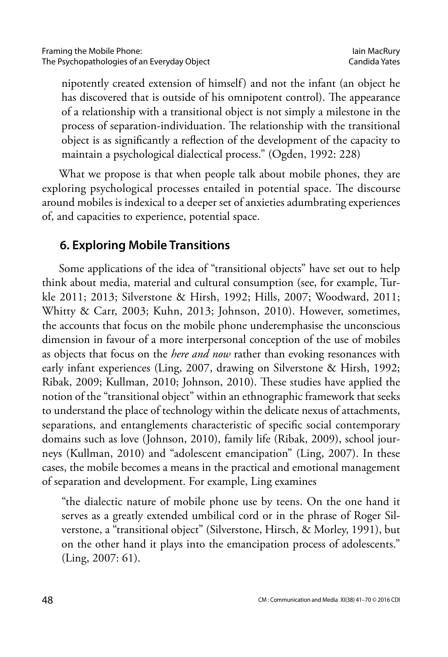nipotently created extension of himself) and not the infant (an object he has discovered that is outside of his omnipotent control). The appearance of a relationship with a transitional object is not simply a milestone in the process of separation-individuation. The relationship with the transitional object is as significantly a reflection of the development of the capacity to maintain a psychological dialectical process." (Ogden, 1992: 228)

What we propose is that when people talk about mobile phones, they are exploring psychological processes entailed in potential space. The discourse around mobiles is indexical to a deeper set of anxieties adumbrating experiences of, and capacities to experience, potential space.

## **6. Exploring Mobile Transitions**

Some applications of the idea of "transitional objects" have set out to help think about media, material and cultural consumption (see, for example, Turkle 2011; 2013; Silverstone & Hirsh, 1992; Hills, 2007; Woodward, 2011; Whitty & Carr, 2003; Kuhn, 2013; Johnson, 2010). However, sometimes, the accounts that focus on the mobile phone underemphasise the unconscious dimension in favour of a more interpersonal conception of the use of mobiles as objects that focus on the *here and now* rather than evoking resonances with early infant experiences (Ling, 2007, drawing on Silverstone & Hirsh, 1992; Ribak, 2009; Kullman, 2010; Johnson, 2010). These studies have applied the notion of the "transitional object" within an ethnographic framework that seeks to understand the place of technology within the delicate nexus of attachments, separations, and entanglements characteristic of specific social contemporary domains such as love (Johnson, 2010), family life (Ribak, 2009), school journeys (Kullman, 2010) and "adolescent emancipation" (Ling, 2007). In these cases, the mobile becomes a means in the practical and emotional management of separation and development. For example, Ling examines

"the dialectic nature of mobile phone use by teens. On the one hand it serves as a greatly extended umbilical cord or in the phrase of Roger Silverstone, a "transitional object" (Silverstone, Hirsch, & Morley, 1991), but on the other hand it plays into the emancipation process of adolescents." (Ling, 2007: 61).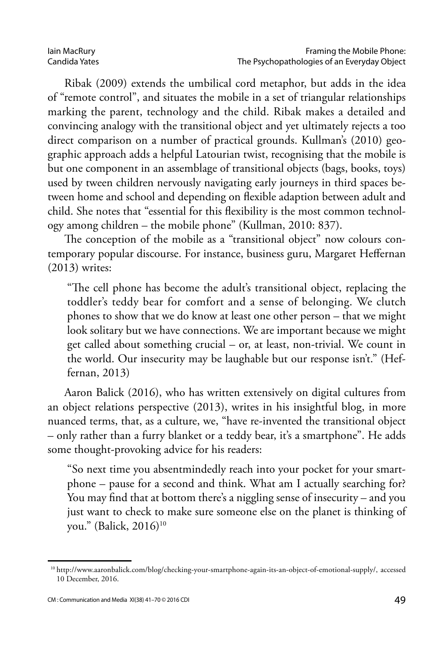Ribak (2009) extends the umbilical cord metaphor, but adds in the idea of "remote control", and situates the mobile in a set of triangular relationships marking the parent, technology and the child. Ribak makes a detailed and convincing analogy with the transitional object and yet ultimately rejects a too direct comparison on a number of practical grounds. Kullman's (2010) geographic approach adds a helpful Latourian twist, recognising that the mobile is but one component in an assemblage of transitional objects (bags, books, toys) used by tween children nervously navigating early journeys in third spaces between home and school and depending on flexible adaption between adult and child. She notes that "essential for this flexibility is the most common technology among children – the mobile phone" (Kullman, 2010: 837).

The conception of the mobile as a "transitional object" now colours contemporary popular discourse. For instance, business guru, Margaret Heffernan (2013) writes:

"The cell phone has become the adult's transitional object, replacing the toddler's teddy bear for comfort and a sense of belonging. We clutch phones to show that we do know at least one other person – that we might look solitary but we have connections. We are important because we might get called about something crucial – or, at least, non-trivial. We count in the world. Our insecurity may be laughable but our response isn't." (Heffernan, 2013)

Aaron Balick (2016), who has written extensively on digital cultures from an object relations perspective (2013), writes in his insightful blog, in more nuanced terms, that, as a culture, we, "have re-invented the transitional object – only rather than a furry blanket or a teddy bear, it's a smartphone". He adds some thought-provoking advice for his readers:

"So next time you absentmindedly reach into your pocket for your smartphone – pause for a second and think. What am I actually searching for? You may find that at bottom there's a niggling sense of insecurity – and you just want to check to make sure someone else on the planet is thinking of you." (Balick, 2016)<sup>10</sup>

<sup>10</sup> [http://www.aaronbalick.com/blog/checking-your-smartphone-again-its-an-object-of-emotional-supply/,](http://www.aaronbalick.com/blog/checking-your-smartphone-again-its-an-object-of-emotional-supply/) accessed 10 December, 2016.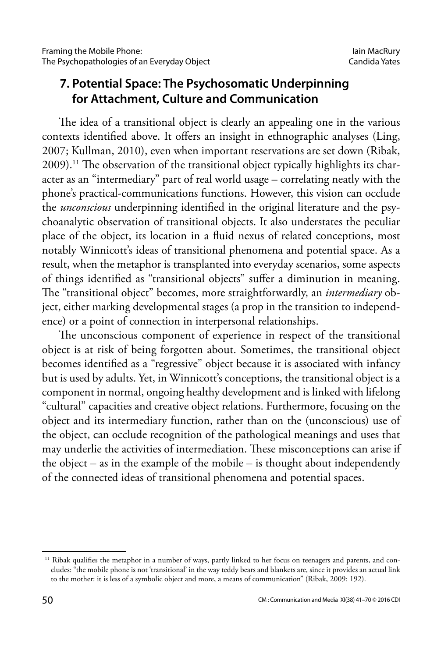## **7. Potential Space: The Psychosomatic Underpinning for Attachment, Culture and Communication**

The idea of a transitional object is clearly an appealing one in the various contexts identified above. It offers an insight in ethnographic analyses (Ling, 2007; Kullman, 2010), even when important reservations are set down (Ribak, 2009).11 The observation of the transitional object typically highlights its character as an "intermediary" part of real world usage – correlating neatly with the phone's practical-communications functions. However, this vision can occlude the *unconscious* underpinning identified in the original literature and the psychoanalytic observation of transitional objects. It also understates the peculiar place of the object, its location in a fluid nexus of related conceptions, most notably Winnicott's ideas of transitional phenomena and potential space. As a result, when the metaphor is transplanted into everyday scenarios, some aspects of things identified as "transitional objects" suffer a diminution in meaning. The "transitional object" becomes, more straightforwardly, an *intermediary* object, either marking developmental stages (a prop in the transition to independence) or a point of connection in interpersonal relationships.

The unconscious component of experience in respect of the transitional object is at risk of being forgotten about. Sometimes, the transitional object becomes identified as a "regressive" object because it is associated with infancy but is used by adults. Yet, in Winnicott's conceptions, the transitional object is a component in normal, ongoing healthy development and is linked with lifelong "cultural" capacities and creative object relations. Furthermore, focusing on the object and its intermediary function, rather than on the (unconscious) use of the object, can occlude recognition of the pathological meanings and uses that may underlie the activities of intermediation. These misconceptions can arise if the object – as in the example of the mobile – is thought about independently of the connected ideas of transitional phenomena and potential spaces.

<sup>&</sup>lt;sup>11</sup> Ribak qualifies the metaphor in a number of ways, partly linked to her focus on teenagers and parents, and concludes: "the mobile phone is not 'transitional' in the way teddy bears and blankets are, since it provides an actual link to the mother: it is less of a symbolic object and more, a means of communication" (Ribak, 2009: 192).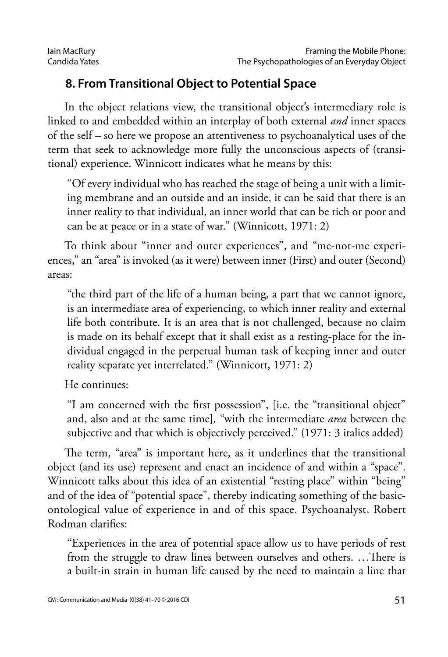## **8. From Transitional Object to Potential Space**

In the object relations view, the transitional object's intermediary role is linked to and embedded within an interplay of both external *and* inner spaces of the self – so here we propose an attentiveness to psychoanalytical uses of the term that seek to acknowledge more fully the unconscious aspects of (transitional) experience. Winnicott indicates what he means by this:

"Of every individual who has reached the stage of being a unit with a limiting membrane and an outside and an inside, it can be said that there is an inner reality to that individual, an inner world that can be rich or poor and can be at peace or in a state of war." (Winnicott, 1971: 2)

To think about "inner and outer experiences", and "me-not-me experiences," an "area" is invoked (as it were) between inner (First) and outer (Second) areas:

"the third part of the life of a human being, a part that we cannot ignore, is an intermediate area of experiencing, to which inner reality and external life both contribute. It is an area that is not challenged, because no claim is made on its behalf except that it shall exist as a resting-place for the individual engaged in the perpetual human task of keeping inner and outer reality separate yet interrelated." (Winnicott, 1971: 2)

He continues:

"I am concerned with the first possession", [i.e. the "transitional object" and, also and at the same time]*,* "with the intermediate *area* between the subjective and that which is objectively perceived." (1971: 3 italics added)

The term, "area" is important here, as it underlines that the transitional object (and its use) represent and enact an incidence of and within a "space". Winnicott talks about this idea of an existential "resting place" within "being" and of the idea of "potential space", thereby indicating something of the basicontological value of experience in and of this space. Psychoanalyst, Robert Rodman clarifies:

"Experiences in the area of potential space allow us to have periods of rest from the struggle to draw lines between ourselves and others. …There is a built-in strain in human life caused by the need to maintain a line that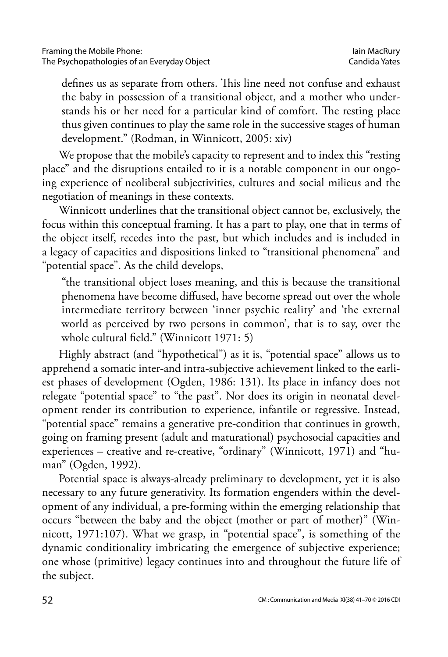defines us as separate from others. This line need not confuse and exhaust the baby in possession of a transitional object, and a mother who understands his or her need for a particular kind of comfort. The resting place thus given continues to play the same role in the successive stages of human development." (Rodman, in Winnicott, 2005: xiv)

We propose that the mobile's capacity to represent and to index this "resting place" and the disruptions entailed to it is a notable component in our ongoing experience of neoliberal subjectivities, cultures and social milieus and the negotiation of meanings in these contexts.

Winnicott underlines that the transitional object cannot be, exclusively, the focus within this conceptual framing. It has a part to play, one that in terms of the object itself, recedes into the past, but which includes and is included in a legacy of capacities and dispositions linked to "transitional phenomena" and "potential space". As the child develops,

"the transitional object loses meaning, and this is because the transitional phenomena have become diffused, have become spread out over the whole intermediate territory between 'inner psychic reality' and 'the external world as perceived by two persons in common', that is to say, over the whole cultural field." (Winnicott 1971: 5)

Highly abstract (and "hypothetical") as it is, "potential space" allows us to apprehend a somatic inter-and intra-subjective achievement linked to the earliest phases of development (Ogden, 1986: 131). Its place in infancy does not relegate "potential space" to "the past". Nor does its origin in neonatal development render its contribution to experience, infantile or regressive. Instead, "potential space" remains a generative pre-condition that continues in growth, going on framing present (adult and maturational) psychosocial capacities and experiences – creative and re-creative, "ordinary" (Winnicott, 1971) and "human" (Ogden, 1992).

Potential space is always-already preliminary to development, yet it is also necessary to any future generativity. Its formation engenders within the development of any individual, a pre-forming within the emerging relationship that occurs "between the baby and the object (mother or part of mother)" (Winnicott, 1971:107). What we grasp, in "potential space", is something of the dynamic conditionality imbricating the emergence of subjective experience; one whose (primitive) legacy continues into and throughout the future life of the subject.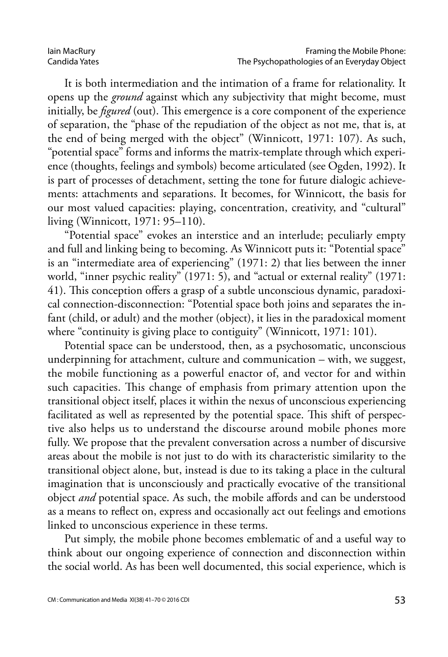#### Iain MacRury Candida Yates

It is both intermediation and the intimation of a frame for relationality. It opens up the *ground* against which any subjectivity that might become, must initially, be *figured* (out). This emergence is a core component of the experience of separation, the "phase of the repudiation of the object as not me, that is, at the end of being merged with the object" (Winnicott, 1971: 107). As such, "potential space" forms and informs the matrix-template through which experience (thoughts, feelings and symbols) become articulated (see Ogden, 1992). It is part of processes of detachment, setting the tone for future dialogic achievements: attachments and separations. It becomes, for Winnicott, the basis for our most valued capacities: playing, concentration, creativity, and "cultural" living (Winnicott, 1971: 95–110).

"Potential space" evokes an interstice and an interlude; peculiarly empty and full and linking being to becoming. As Winnicott puts it: "Potential space" is an "intermediate area of experiencing" (1971: 2) that lies between the inner world, "inner psychic reality" (1971: 5), and "actual or external reality" (1971: 41). This conception offers a grasp of a subtle unconscious dynamic, paradoxical connection-disconnection: "Potential space both joins and separates the infant (child, or adult) and the mother (object), it lies in the paradoxical moment where "continuity is giving place to contiguity" (Winnicott, 1971: 101).

Potential space can be understood, then, as a psychosomatic, unconscious underpinning for attachment, culture and communication – with, we suggest, the mobile functioning as a powerful enactor of, and vector for and within such capacities. This change of emphasis from primary attention upon the transitional object itself, places it within the nexus of unconscious experiencing facilitated as well as represented by the potential space. This shift of perspective also helps us to understand the discourse around mobile phones more fully. We propose that the prevalent conversation across a number of discursive areas about the mobile is not just to do with its characteristic similarity to the transitional object alone, but, instead is due to its taking a place in the cultural imagination that is unconsciously and practically evocative of the transitional object *and* potential space. As such, the mobile affords and can be understood as a means to reflect on, express and occasionally act out feelings and emotions linked to unconscious experience in these terms.

Put simply, the mobile phone becomes emblematic of and a useful way to think about our ongoing experience of connection and disconnection within the social world. As has been well documented, this social experience, which is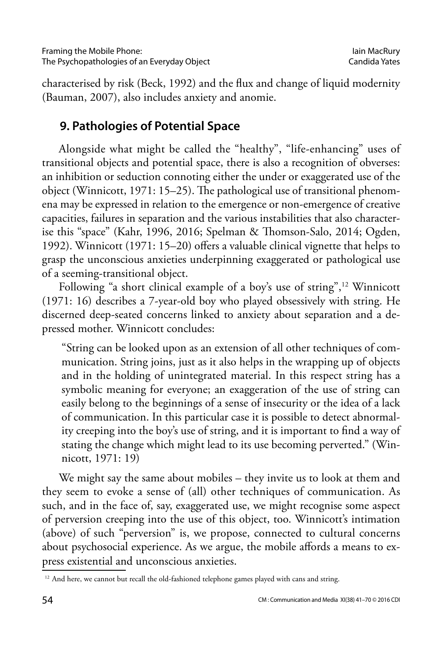characterised by risk (Beck, 1992) and the flux and change of liquid modernity (Bauman, 2007), also includes anxiety and anomie.

## **9. Pathologies of Potential Space**

Alongside what might be called the "healthy", "life-enhancing" uses of transitional objects and potential space, there is also a recognition of obverses: an inhibition or seduction connoting either the under or exaggerated use of the object (Winnicott, 1971: 15–25). The pathological use of transitional phenomena may be expressed in relation to the emergence or non-emergence of creative capacities, failures in separation and the various instabilities that also characterise this "space" (Kahr, 1996, 2016; Spelman & Thomson-Salo, 2014; Ogden, 1992). Winnicott (1971: 15–20) offers a valuable clinical vignette that helps to grasp the unconscious anxieties underpinning exaggerated or pathological use of a seeming-transitional object.

Following "a short clinical example of a boy's use of string",<sup>12</sup> Winnicott (1971: 16) describes a 7-year-old boy who played obsessively with string. He discerned deep-seated concerns linked to anxiety about separation and a depressed mother. Winnicott concludes:

"String can be looked upon as an extension of all other techniques of communication. String joins, just as it also helps in the wrapping up of objects and in the holding of unintegrated material. In this respect string has a symbolic meaning for everyone; an exaggeration of the use of string can easily belong to the beginnings of a sense of insecurity or the idea of a lack of communication. In this particular case it is possible to detect abnormality creeping into the boy's use of string, and it is important to find a way of stating the change which might lead to its use becoming perverted." (Winnicott, 1971: 19)

We might say the same about mobiles – they invite us to look at them and they seem to evoke a sense of (all) other techniques of communication. As such, and in the face of, say, exaggerated use, we might recognise some aspect of perversion creeping into the use of this object, too. Winnicott's intimation (above) of such "perversion" is, we propose, connected to cultural concerns about psychosocial experience. As we argue, the mobile affords a means to express existential and unconscious anxieties.

<sup>&</sup>lt;sup>12</sup> And here, we cannot but recall the old-fashioned telephone games played with cans and string.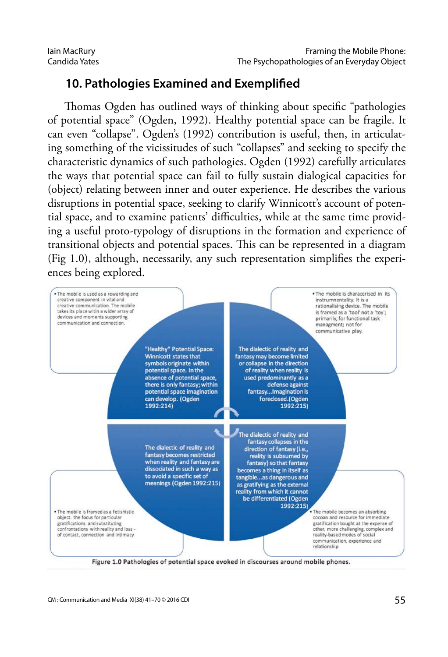## **10. Pathologies Examined and Exemplified**

Thomas Ogden has outlined ways of thinking about specific "pathologies of potential space" (Ogden, 1992). Healthy potential space can be fragile. It can even "collapse". Ogden's (1992) contribution is useful, then, in articulating something of the vicissitudes of such "collapses" and seeking to specify the characteristic dynamics of such pathologies. Ogden (1992) carefully articulates the ways that potential space can fail to fully sustain dialogical capacities for (object) relating between inner and outer experience. He describes the various disruptions in potential space, seeking to clarify Winnicott's account of potential space, and to examine patients' difficulties, while at the same time providing a useful proto-typology of disruptions in the formation and experience of transitional objects and potential spaces. This can be represented in a diagram (Fig 1.0), although, necessarily, any such representation simplifies the experiences being explored.

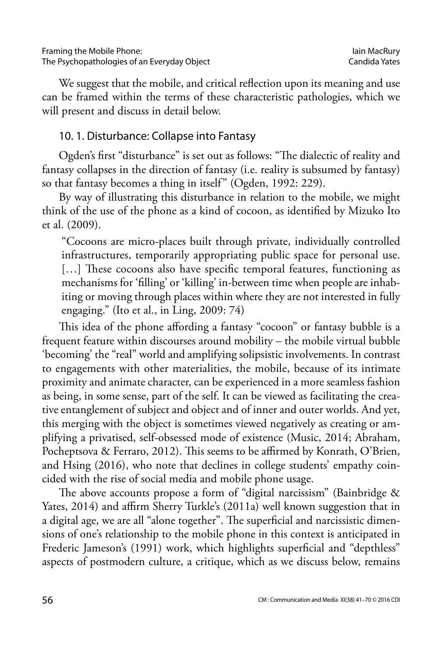We suggest that the mobile, and critical reflection upon its meaning and use can be framed within the terms of these characteristic pathologies, which we will present and discuss in detail below.

#### 10. 1. Disturbance: Collapse into Fantasy

Ogden's first "disturbance" is set out as follows: "The dialectic of reality and fantasy collapses in the direction of fantasy (i.e. reality is subsumed by fantasy) so that fantasy becomes a thing in itself" (Ogden, 1992: 229).

By way of illustrating this disturbance in relation to the mobile, we might think of the use of the phone as a kind of cocoon, as identified by Mizuko Ito et al. (2009).

"Cocoons are micro-places built through private, individually controlled infrastructures, temporarily appropriating public space for personal use. [...] These cocoons also have specific temporal features, functioning as mechanisms for 'filling' or 'killing' in-between time when people are inhabiting or moving through places within where they are not interested in fully engaging." (Ito et al., in Ling, 2009: 74)

This idea of the phone affording a fantasy "cocoon" or fantasy bubble is a frequent feature within discourses around mobility – the mobile virtual bubble 'becoming' the "real" world and amplifying solipsistic involvements. In contrast to engagements with other materialities, the mobile, because of its intimate proximity and animate character, can be experienced in a more seamless fashion as being, in some sense, part of the self. It can be viewed as facilitating the creative entanglement of subject and object and of inner and outer worlds. And yet, this merging with the object is sometimes viewed negatively as creating or amplifying a privatised, self-obsessed mode of existence (Music, 2014; Abraham, Pocheptsova & Ferraro, 2012). This seems to be affirmed by Konrath, O'Brien, and Hsing (2016), who note that declines in college students' empathy coincided with the rise of social media and mobile phone usage.

The above accounts propose a form of "digital narcissism" (Bainbridge & Yates, 2014) and affirm Sherry Turkle's (2011a) well known suggestion that in a digital age, we are all "alone together". The superficial and narcissistic dimensions of one's relationship to the mobile phone in this context is anticipated in Frederic Jameson's (1991) work, which highlights superficial and "depthless" aspects of postmodern culture, a critique, which as we discuss below, remains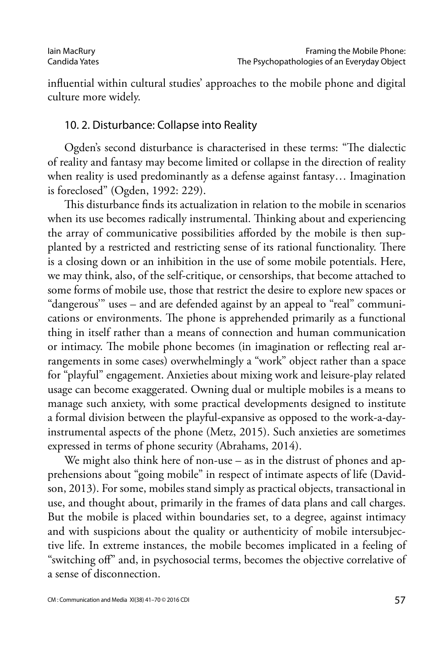influential within cultural studies' approaches to the mobile phone and digital culture more widely.

#### 10. 2. Disturbance: Collapse into Reality

Ogden's second disturbance is characterised in these terms: "The dialectic of reality and fantasy may become limited or collapse in the direction of reality when reality is used predominantly as a defense against fantasy… Imagination is foreclosed" (Ogden, 1992: 229).

This disturbance finds its actualization in relation to the mobile in scenarios when its use becomes radically instrumental. Thinking about and experiencing the array of communicative possibilities afforded by the mobile is then supplanted by a restricted and restricting sense of its rational functionality. There is a closing down or an inhibition in the use of some mobile potentials. Here, we may think, also, of the self-critique, or censorships, that become attached to some forms of mobile use, those that restrict the desire to explore new spaces or "dangerous'" uses – and are defended against by an appeal to "real" communications or environments. The phone is apprehended primarily as a functional thing in itself rather than a means of connection and human communication or intimacy. The mobile phone becomes (in imagination or reflecting real arrangements in some cases) overwhelmingly a "work" object rather than a space for "playful" engagement. Anxieties about mixing work and leisure-play related usage can become exaggerated. Owning dual or multiple mobiles is a means to manage such anxiety, with some practical developments designed to institute a formal division between the playful-expansive as opposed to the work-a-dayinstrumental aspects of the phone (Metz, 2015). Such anxieties are sometimes expressed in terms of phone security (Abrahams, 2014).

We might also think here of non-use – as in the distrust of phones and apprehensions about "going mobile" in respect of intimate aspects of life (Davidson, 2013). For some, mobiles stand simply as practical objects, transactional in use, and thought about, primarily in the frames of data plans and call charges. But the mobile is placed within boundaries set, to a degree, against intimacy and with suspicions about the quality or authenticity of mobile intersubjective life. In extreme instances, the mobile becomes implicated in a feeling of "switching off" and, in psychosocial terms, becomes the objective correlative of a sense of disconnection.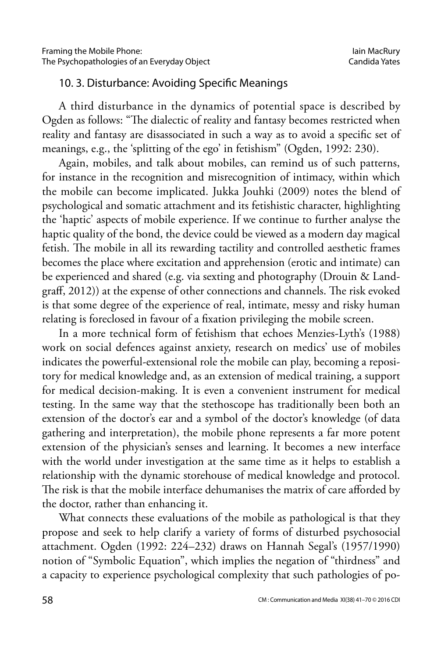#### 10. 3. Disturbance: Avoiding Specific Meanings

A third disturbance in the dynamics of potential space is described by Ogden as follows: "The dialectic of reality and fantasy becomes restricted when reality and fantasy are disassociated in such a way as to avoid a specific set of meanings, e.g., the 'splitting of the ego' in fetishism" (Ogden, 1992: 230).

Again, mobiles, and talk about mobiles, can remind us of such patterns, for instance in the recognition and misrecognition of intimacy, within which the mobile can become implicated. Jukka Jouhki (2009) notes the blend of psychological and somatic attachment and its fetishistic character, highlighting the 'haptic' aspects of mobile experience. If we continue to further analyse the haptic quality of the bond, the device could be viewed as a modern day magical fetish. The mobile in all its rewarding tactility and controlled aesthetic frames becomes the place where excitation and apprehension (erotic and intimate) can be experienced and shared (e.g. via sexting and photography (Drouin & Landgraff, 2012)) at the expense of other connections and channels. The risk evoked is that some degree of the experience of real, intimate, messy and risky human relating is foreclosed in favour of a fixation privileging the mobile screen.

In a more technical form of fetishism that echoes Menzies-Lyth's (1988) work on social defences against anxiety, research on medics' use of mobiles indicates the powerful-extensional role the mobile can play, becoming a repository for medical knowledge and, as an extension of medical training, a support for medical decision-making. It is even a convenient instrument for medical testing. In the same way that the stethoscope has traditionally been both an extension of the doctor's ear and a symbol of the doctor's knowledge (of data gathering and interpretation), the mobile phone represents a far more potent extension of the physician's senses and learning. It becomes a new interface with the world under investigation at the same time as it helps to establish a relationship with the dynamic storehouse of medical knowledge and protocol. The risk is that the mobile interface dehumanises the matrix of care afforded by the doctor, rather than enhancing it.

What connects these evaluations of the mobile as pathological is that they propose and seek to help clarify a variety of forms of disturbed psychosocial attachment. Ogden (1992: 224–232) draws on Hannah Segal's (1957/1990) notion of "Symbolic Equation", which implies the negation of "thirdness" and a capacity to experience psychological complexity that such pathologies of po-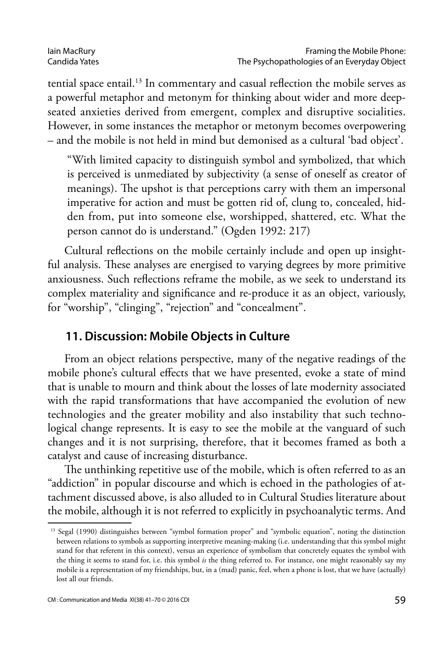tential space entail.<sup>13</sup> In commentary and casual reflection the mobile serves as a powerful metaphor and metonym for thinking about wider and more deepseated anxieties derived from emergent, complex and disruptive socialities. However, in some instances the metaphor or metonym becomes overpowering – and the mobile is not held in mind but demonised as a cultural 'bad object'.

"With limited capacity to distinguish symbol and symbolized, that which is perceived is unmediated by subjectivity (a sense of oneself as creator of meanings). The upshot is that perceptions carry with them an impersonal imperative for action and must be gotten rid of, clung to, concealed, hidden from, put into someone else, worshipped, shattered, etc. What the person cannot do is understand." (Ogden 1992: 217)

Cultural reflections on the mobile certainly include and open up insightful analysis. These analyses are energised to varying degrees by more primitive anxiousness. Such reflections reframe the mobile, as we seek to understand its complex materiality and significance and re-produce it as an object, variously, for "worship", "clinging", "rejection" and "concealment".

### **11. Discussion: Mobile Objects in Culture**

From an object relations perspective, many of the negative readings of the mobile phone's cultural effects that we have presented, evoke a state of mind that is unable to mourn and think about the losses of late modernity associated with the rapid transformations that have accompanied the evolution of new technologies and the greater mobility and also instability that such technological change represents. It is easy to see the mobile at the vanguard of such changes and it is not surprising, therefore, that it becomes framed as both a catalyst and cause of increasing disturbance.

The unthinking repetitive use of the mobile, which is often referred to as an "addiction" in popular discourse and which is echoed in the pathologies of attachment discussed above, is also alluded to in Cultural Studies literature about the mobile, although it is not referred to explicitly in psychoanalytic terms. And

<sup>&</sup>lt;sup>13</sup> Segal (1990) distinguishes between "symbol formation proper" and "symbolic equation", noting the distinction between relations to symbols as supporting interpretive meaning-making (i.e. understanding that this symbol might stand for that referent in this context), versus an experience of symbolism that concretely equates the symbol with the thing it seems to stand for, i.e. this symbol *is* the thing referred to. For instance, one might reasonably say my mobile is a representation of my friendships, but, in a (mad) panic, feel, when a phone is lost, that we have (actually) lost all our friends.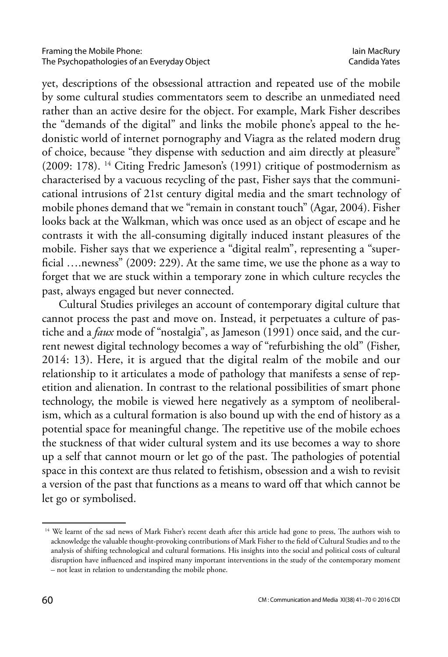yet, descriptions of the obsessional attraction and repeated use of the mobile by some cultural studies commentators seem to describe an unmediated need rather than an active desire for the object. For example, Mark Fisher describes the "demands of the digital" and links the mobile phone's appeal to the hedonistic world of internet pornography and Viagra as the related modern drug of choice, because "they dispense with seduction and aim directly at pleasure" (2009: 178). 14 Citing Fredric Jameson's (1991) critique of postmodernism as characterised by a vacuous recycling of the past, Fisher says that the communicational intrusions of 21st century digital media and the smart technology of mobile phones demand that we "remain in constant touch" (Agar, 2004). Fisher looks back at the Walkman, which was once used as an object of escape and he contrasts it with the all-consuming digitally induced instant pleasures of the mobile. Fisher says that we experience a "digital realm", representing a "superficial ….newness" (2009: 229). At the same time, we use the phone as a way to forget that we are stuck within a temporary zone in which culture recycles the past, always engaged but never connected.

Cultural Studies privileges an account of contemporary digital culture that cannot process the past and move on. Instead, it perpetuates a culture of pastiche and a *faux* mode of "nostalgia", as Jameson (1991) once said, and the current newest digital technology becomes a way of "refurbishing the old" (Fisher, 2014: 13). Here, it is argued that the digital realm of the mobile and our relationship to it articulates a mode of pathology that manifests a sense of repetition and alienation. In contrast to the relational possibilities of smart phone technology, the mobile is viewed here negatively as a symptom of neoliberalism, which as a cultural formation is also bound up with the end of history as a potential space for meaningful change. The repetitive use of the mobile echoes the stuckness of that wider cultural system and its use becomes a way to shore up a self that cannot mourn or let go of the past. The pathologies of potential space in this context are thus related to fetishism, obsession and a wish to revisit a version of the past that functions as a means to ward off that which cannot be let go or symbolised.

<sup>&</sup>lt;sup>14</sup> We learnt of the sad news of Mark Fisher's recent death after this article had gone to press, The authors wish to acknowledge the valuable thought-provoking contributions of Mark Fisher to the field of Cultural Studies and to the analysis of shifting technological and cultural formations. His insights into the social and political costs of cultural disruption have influenced and inspired many important interventions in the study of the contemporary moment – not least in relation to understanding the mobile phone.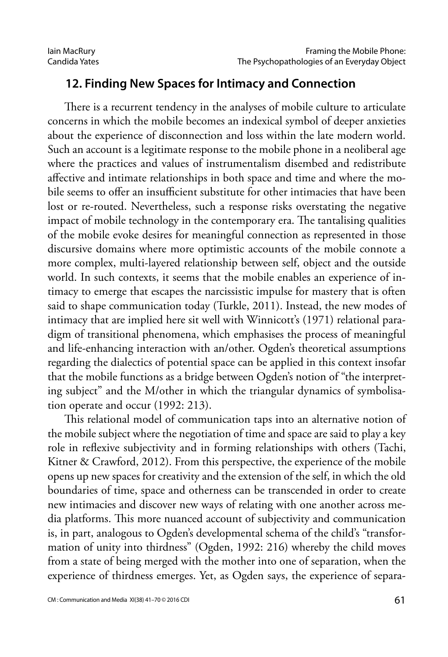#### **12. Finding New Spaces for Intimacy and Connection**

There is a recurrent tendency in the analyses of mobile culture to articulate concerns in which the mobile becomes an indexical symbol of deeper anxieties about the experience of disconnection and loss within the late modern world. Such an account is a legitimate response to the mobile phone in a neoliberal age where the practices and values of instrumentalism disembed and redistribute affective and intimate relationships in both space and time and where the mobile seems to offer an insufficient substitute for other intimacies that have been lost or re-routed. Nevertheless, such a response risks overstating the negative impact of mobile technology in the contemporary era. The tantalising qualities of the mobile evoke desires for meaningful connection as represented in those discursive domains where more optimistic accounts of the mobile connote a more complex, multi-layered relationship between self, object and the outside world. In such contexts, it seems that the mobile enables an experience of intimacy to emerge that escapes the narcissistic impulse for mastery that is often said to shape communication today (Turkle, 2011). Instead, the new modes of intimacy that are implied here sit well with Winnicott's (1971) relational paradigm of transitional phenomena, which emphasises the process of meaningful and life-enhancing interaction with an/other. Ogden's theoretical assumptions regarding the dialectics of potential space can be applied in this context insofar that the mobile functions as a bridge between Ogden's notion of "the interpreting subject" and the M/other in which the triangular dynamics of symbolisation operate and occur (1992: 213).

This relational model of communication taps into an alternative notion of the mobile subject where the negotiation of time and space are said to play a key role in reflexive subjectivity and in forming relationships with others (Tachi, Kitner & Crawford, 2012). From this perspective, the experience of the mobile opens up new spaces for creativity and the extension of the self, in which the old boundaries of time, space and otherness can be transcended in order to create new intimacies and discover new ways of relating with one another across media platforms. This more nuanced account of subjectivity and communication is, in part, analogous to Ogden's developmental schema of the child's "transformation of unity into thirdness" (Ogden, 1992: 216) whereby the child moves from a state of being merged with the mother into one of separation, when the experience of thirdness emerges. Yet, as Ogden says, the experience of separa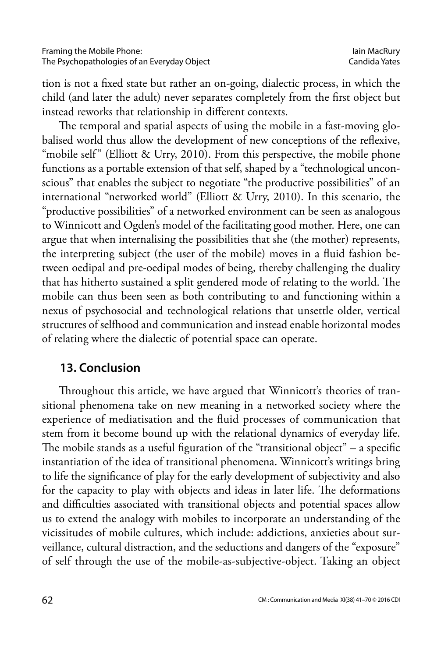tion is not a fixed state but rather an on-going, dialectic process, in which the child (and later the adult) never separates completely from the first object but instead reworks that relationship in different contexts.

The temporal and spatial aspects of using the mobile in a fast-moving globalised world thus allow the development of new conceptions of the reflexive, "mobile self" (Elliott & Urry, 2010). From this perspective, the mobile phone functions as a portable extension of that self, shaped by a "technological unconscious" that enables the subject to negotiate "the productive possibilities" of an international "networked world" (Elliott & Urry, 2010). In this scenario, the "productive possibilities" of a networked environment can be seen as analogous to Winnicott and Ogden's model of the facilitating good mother. Here, one can argue that when internalising the possibilities that she (the mother) represents, the interpreting subject (the user of the mobile) moves in a fluid fashion between oedipal and pre-oedipal modes of being, thereby challenging the duality that has hitherto sustained a split gendered mode of relating to the world. The mobile can thus been seen as both contributing to and functioning within a nexus of psychosocial and technological relations that unsettle older, vertical structures of selfhood and communication and instead enable horizontal modes of relating where the dialectic of potential space can operate.

#### **13. Conclusion**

Throughout this article, we have argued that Winnicott's theories of transitional phenomena take on new meaning in a networked society where the experience of mediatisation and the fluid processes of communication that stem from it become bound up with the relational dynamics of everyday life. The mobile stands as a useful figuration of the "transitional object"  $-$  a specific instantiation of the idea of transitional phenomena. Winnicott's writings bring to life the significance of play for the early development of subjectivity and also for the capacity to play with objects and ideas in later life. The deformations and difficulties associated with transitional objects and potential spaces allow us to extend the analogy with mobiles to incorporate an understanding of the vicissitudes of mobile cultures, which include: addictions, anxieties about surveillance, cultural distraction, and the seductions and dangers of the "exposure" of self through the use of the mobile-as-subjective-object. Taking an object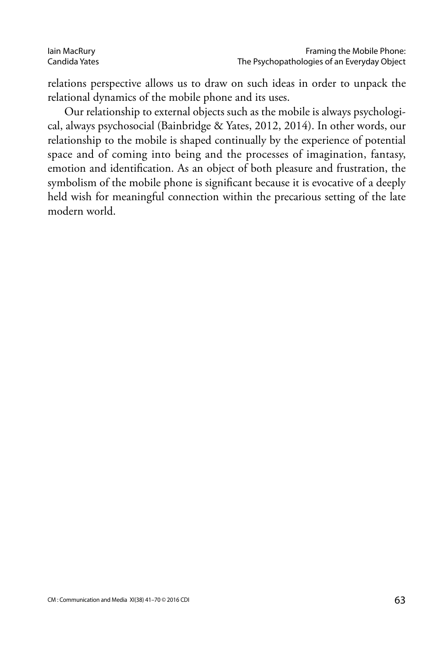relations perspective allows us to draw on such ideas in order to unpack the relational dynamics of the mobile phone and its uses.

Our relationship to external objects such as the mobile is always psychological, always psychosocial (Bainbridge & Yates, 2012, 2014). In other words, our relationship to the mobile is shaped continually by the experience of potential space and of coming into being and the processes of imagination, fantasy, emotion and identification. As an object of both pleasure and frustration, the symbolism of the mobile phone is significant because it is evocative of a deeply held wish for meaningful connection within the precarious setting of the late modern world.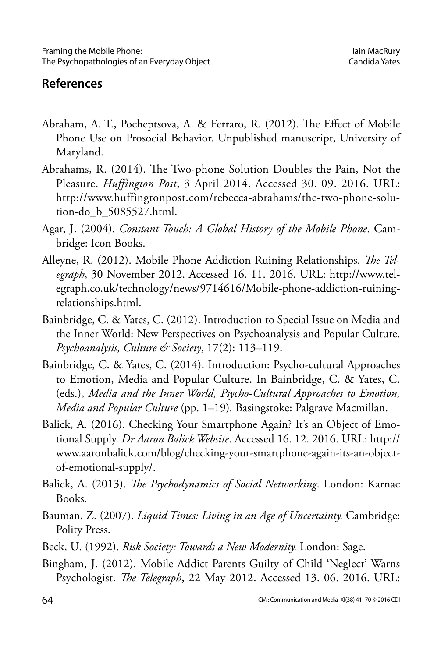### **References**

- Abraham, A. T., Pocheptsova, A. & Ferraro, R. (2012). The Effect of Mobile Phone Use on Prosocial Behavior. Unpublished manuscript, University of Maryland.
- Abrahams, R. (2014). The Two-phone Solution Doubles the Pain, Not the Pleasure. *Huffington Post*, 3 April 2014. Accessed 30. 09. 2016. URL: http://www.huffingtonpost.com/rebecca-abrahams/the-two-phone-solution-do\_b\_5085527.html.
- Agar, J. (2004). *Constant Touch: A Global History of the Mobile Phone*. Cambridge: Icon Books.
- Alleyne, R. (2012). Mobile Phone Addiction Ruining Relationships. *The Telegraph*, 30 November 2012. Accessed 16. 11. 2016. URL: [http://www.tel](http://www.telegraph.co.uk/technology/news/9714616/Mobile-phone-addiction-ruining-relationships.html)[egraph.co.uk/technology/news/9714616/Mobile-phone-addiction-ruining](http://www.telegraph.co.uk/technology/news/9714616/Mobile-phone-addiction-ruining-relationships.html)[relationships.html](http://www.telegraph.co.uk/technology/news/9714616/Mobile-phone-addiction-ruining-relationships.html).
- Bainbridge, C. & Yates, C. (2012). Introduction to Special Issue on Media and the Inner World: New Perspectives on Psychoanalysis and Popular Culture. *Psychoanalysis, Culture & Society*, 17(2): 113–119.
- Bainbridge, C. & Yates, C. (2014). Introduction: Psycho-cultural Approaches to Emotion, Media and Popular Culture. In Bainbridge, C. & Yates, C. (eds.), *Media and the Inner World, Psycho-Cultural Approaches to Emotion, Media and Popular Culture* (pp. 1–19)*.* Basingstoke: Palgrave Macmillan.
- Balick, A. (2016). Checking Your Smartphone Again? It's an Object of Emotional Supply. *Dr Aaron Balick Website*. Accessed 16. 12. 2016. URL: http:// www.aaronbalick.com/blog/checking-your-smartphone-again-its-an-objectof-emotional-supply/.
- Balick, A. (2013). *The Psychodynamics of Social Networking*. London: Karnac Books.
- Bauman, Z. (2007). *Liquid Times: Living in an Age of Uncertainty.* Cambridge: Polity Press.
- Beck, U. (1992). *Risk Society: Towards a New Modernity.* London: Sage.
- Bingham, J. (2012). Mobile Addict Parents Guilty of Child 'Neglect' Warns Psychologist. *The Telegraph*, 22 May 2012. Accessed 13. 06. 2016. URL: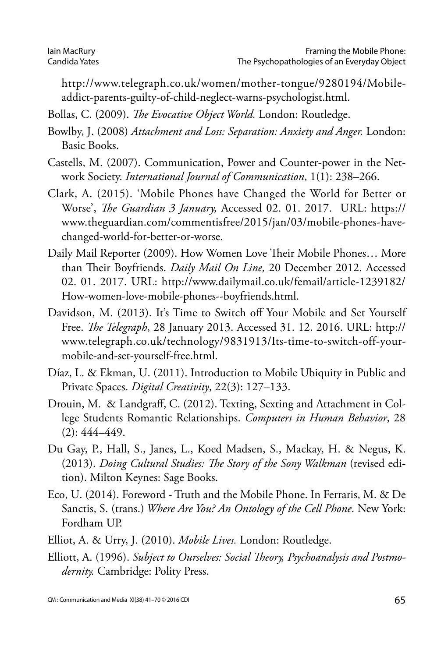http://www.telegraph.co.uk/women/mother-tongue/9280194/Mobileaddict-parents-guilty-of-child-neglect-warns-psychologist.html.

Bollas, C. (2009). *The Evocative Object World.* London: Routledge.

- Bowlby, J. (2008) *Attachment and Loss: Separation: Anxiety and Anger.* London: Basic Books.
- Castells, M. (2007). Communication, Power and Counter-power in the Network Society. *International Journal of Communication*, 1(1): 238–266.
- Clark, A. (2015). 'Mobile Phones have Changed the World for Better or Worse', *The Guardian 3 January,* Accessed 02. 01. 2017. URL: https:// www.theguardian.com/commentisfree/2015/jan/03/mobile-phones-havechanged-world-for-better-or-worse.
- Daily Mail Reporter (2009). How Women Love Their Mobile Phones… More than Their Boyfriends. *Daily Mail On Line,* 20 December 2012. Accessed 02. 01. 2017. URL: [http://www.dailymail.co.uk/femail/article-1239182/](http://www.dailymail.co.uk/femail/article-1239182/How-women-love-mobile-phones--boyfriends.html) [How-women-love-mobile-phones--boyfriends.html](http://www.dailymail.co.uk/femail/article-1239182/How-women-love-mobile-phones--boyfriends.html).
- Davidson, M. (2013). It's Time to Switch off Your Mobile and Set Yourself Free. *The Telegraph*, 28 January 2013. Accessed 31. 12. 2016. URL: http:// www.telegraph.co.uk/technology/9831913/Its-time-to-switch-off-yourmobile-and-set-yourself-free.html.
- Díaz, L. & Ekman, U. (2011). Introduction to Mobile Ubiquity in Public and Private Spaces. *Digital Creativity*, 22(3): 127–133.
- Drouin, M. & Landgraff, C. (2012). Texting, Sexting and Attachment in College Students Romantic Relationships. *Computers in Human Behavior*, [28](http://www.sciencedirect.com/science/journal/07475632/28/2)   $(2): 444 - 449.$  $(2): 444 - 449.$
- Du Gay, P., Hall, S., Janes, L., Koed Madsen, S., Mackay, H. & Negus, K. (2013). *Doing Cultural Studies: The Story of the Sony Walkman* (revised edition). Milton Keynes: Sage Books.
- Eco, U. (2014). Foreword Truth and the Mobile Phone. In Ferraris, M. & De Sanctis, S. (trans.) *Where Are You? An Ontology of the Cell Phone*. New York: Fordham UP.
- Elliot, A. & Urry, J. (2010). *Mobile Lives.* London: Routledge.
- Elliott, A. (1996). *Subject to Ourselves: Social Theory, Psychoanalysis and Postmodernity.* Cambridge: Polity Press.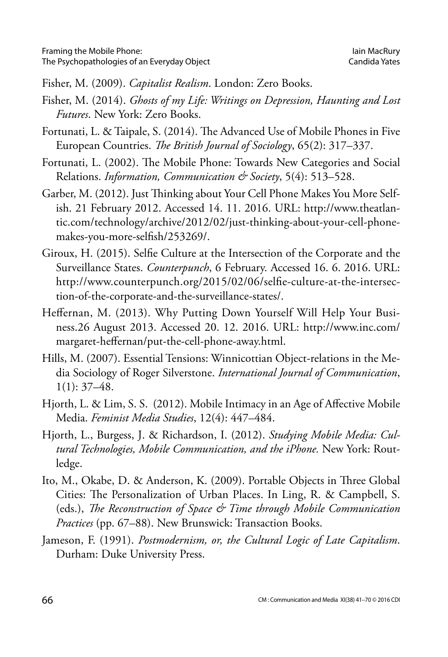Fisher, M. (2009). *Capitalist Realism*. London: Zero Books.

- Fisher, M. (2014). *Ghosts of my Life: Writings on Depression, Haunting and Lost Futures*. New York: Zero Books.
- Fortunati, L. & Taipale, S. (2014). The Advanced Use of Mobile Phones in Five European Countries. *The British Journal of Sociology*, 65(2): 317–337.
- Fortunati, L. (2002). The Mobile Phone: Towards New Categories and Social Relations. *Information, Communication & Society*, 5(4): 513–528.
- Garber, M. (2012). Just Thinking about Your Cell Phone Makes You More Selfish. 21 February 2012. Accessed 14. 11. 2016. URL: http://www.theatlantic.com/technology/archive/2012/02/just-thinking-about-your-cell-phonemakes-you-more-selfish/253269/.
- Giroux, H. (2015). Selfie Culture at the Intersection of the Corporate and the Surveillance States. *Counterpunch*, 6 February. Accessed 16. 6. 2016. URL: [http://www.counterpunch.org/2015/02/06/selfie-culture-at-the-intersec](http://www.counterpunch.org/2015/02/06/selfie-culture-at-the-intersection-of-the-corporate-and-the-surveillance-states/)[tion-of-the-corporate-and-the-surveillance-states/.](http://www.counterpunch.org/2015/02/06/selfie-culture-at-the-intersection-of-the-corporate-and-the-surveillance-states/)
- Heffernan, M. (2013). Why Putting Down Yourself Will Help Your Business.26 August 2013. Accessed 20. 12. 2016. URL: http://www.inc.com/ margaret-heffernan/put-the-cell-phone-away.html.
- Hills, M. (2007). Essential Tensions: Winnicottian Object-relations in the Media Sociology of Roger Silverstone. *International Journal of Communication*,  $1(1): 37-48.$
- Hjorth, L. & Lim, S. S. (2012). Mobile Intimacy in an Age of Affective Mobile Media. *Feminist Media Studies*, 12(4): 447–484.
- Hjorth, L., Burgess, J. & Richardson, I. (2012). *Studying Mobile Media: Cultural Technologies, Mobile Communication, and the iPhone.* New York: Routledge.
- Ito, M., Okabe, D. & Anderson, K. (2009). Portable Objects in Three Global Cities: The Personalization of Urban Places. In Ling, R. & Campbell, S. (eds.), *The Reconstruction of Space & Time through Mobile Communication Practices* (pp. 67–88). New Brunswick: Transaction Books.
- Jameson, F. (1991). *Postmodernism, or, the Cultural Logic of Late Capitalism*. Durham: Duke University Press.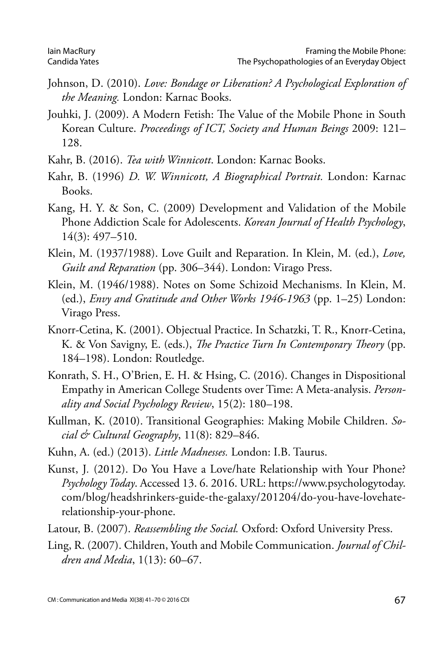- Johnson, D. (2010). *Love: Bondage or Liberation? A Psychological Exploration of the Meaning.* London: Karnac Books.
- Jouhki, J. (2009). A Modern Fetish: The Value of the Mobile Phone in South Korean Culture. *Proceedings of ICT, Society and Human Beings* 2009: 121– 128.
- Kahr, B. (2016). *Tea with Winnicott*. London: Karnac Books.
- Kahr, B. (1996) *D. W. Winnicott, A Biographical Portrait.* London: Karnac Books.
- Kang, H. Y. & Son, C. (2009) Development and Validation of the Mobile Phone Addiction Scale for Adolescents. *Korean Journal of Health Psychology*, 14(3): 497–510.
- Klein, M. (1937/1988). Love Guilt and Reparation. In Klein, M. (ed.), *Love, Guilt and Reparation* (pp. 306–344). London: Virago Press.
- Klein, M. (1946/1988). Notes on Some Schizoid Mechanisms. In Klein, M. (ed.), *Envy and Gratitude and Other Works 1946-1963* (pp. 1–25) London: Virago Press.
- Knorr-Cetina, K. (2001). Objectual Practice. In Schatzki, T. R., Knorr-Cetina, K. & Von Savigny, E. (eds.), *The Practice Turn In Contemporary Theory* (pp. 184–198). London: Routledge.
- Konrath, S. H., O'Brien, E. H. & Hsing, C. (2016). Changes in Dispositional Empathy in American College Students over Time: A Meta-analysis. *Personality and Social Psychology Review*, 15(2): 180–198.
- Kullman, K. (2010). Transitional Geographies: Making Mobile Children. *Social & Cultural Geography*, 11(8): 829–846.
- Kuhn, A. (ed.) (2013). *Little Madnesses.* London: I.B. Taurus.
- Kunst, J*.* (2012). Do You Have a Love/hate Relationship with Your Phone? *Psychology Today*. Accessed 13. 6. 2016. URL: [https://www.psychologytoday.](https://www.psychologytoday.com/blog/headshrinkers-guide-the-galaxy/201204/do-you-have-lovehate-relationship-your-phone) [com/blog/headshrinkers-guide-the-galaxy/201204/do-you-have-lovehate](https://www.psychologytoday.com/blog/headshrinkers-guide-the-galaxy/201204/do-you-have-lovehate-relationship-your-phone)[relationship-your-phone.](https://www.psychologytoday.com/blog/headshrinkers-guide-the-galaxy/201204/do-you-have-lovehate-relationship-your-phone)
- Latour, B. (2007). *Reassembling the Social.* Oxford: Oxford University Press.
- Ling, R. (2007). Children, Youth and Mobile Communication. *Journal of Children and Media*, 1(13): 60–67.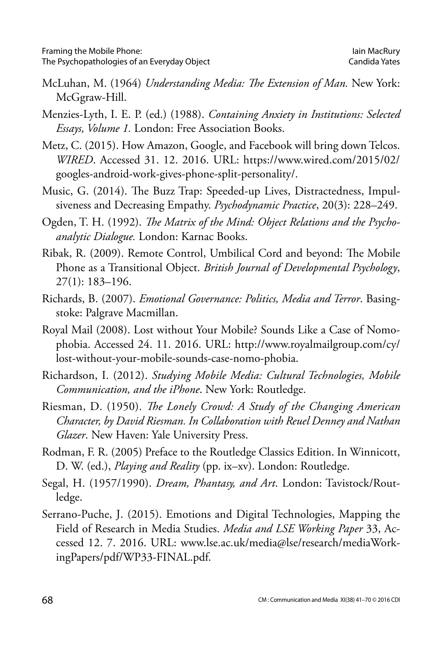- McLuhan, M. (1964) *Understanding Media: The Extension of Man.* New York: McGgraw-Hill.
- Menzies-Lyth, I. E. P. (ed.) (1988). *Containing Anxiety in Institutions: Selected Essays, Volume 1.* London: Free Association Books.
- Metz, C. (2015). How Amazon, Google, and Facebook will bring down Telcos. *WIRED*. Accessed 31. 12. 2016. URL: https://www.wired.com/2015/02/ googles-android-work-gives-phone-split-personality/.
- Music, G. (2014). The Buzz Trap: Speeded-up Lives, Distractedness, Impulsiveness and Decreasing Empathy. *Psychodynamic Practice*, 20(3): 228–249.
- Ogden, T. H. (1992). *The Matrix of the Mind: Object Relations and the Psychoanalytic Dialogue.* London: Karnac Books.
- Ribak, R. (2009). Remote Control, Umbilical Cord and beyond: The Mobile Phone as a Transitional Object. *British Journal of Developmental Psychology*, 27(1): 183–196.
- Richards, B. (2007). *Emotional Governance: Politics, Media and Terror*. Basingstoke: Palgrave Macmillan.
- Royal Mail (2008). Lost without Your Mobile? Sounds Like a Case of Nomophobia. Accessed 24. 11. 2016. URL: http://www.royalmailgroup.com/cy/ lost-without-your-mobile-sounds-case-nomo-phobia.
- Richardson, I. (2012). *Studying Mobile Media: Cultural Technologies, Mobile Communication, and the iPhone*. New York: Routledge.
- Riesman, D. (1950). *The Lonely Crowd: A Study of the Changing American Character, by David Riesman. In Collaboration with Reuel Denney and Nathan Glazer*. New Haven: Yale University Press.
- Rodman, F. R. (2005) Preface to the Routledge Classics Edition. In Winnicott, D. W. (ed.), *Playing and Reality* (pp. ix–xv). London: Routledge.
- Segal, H. (1957/1990). *Dream, Phantasy, and Art*. London: Tavistock/Routledge.
- Serrano-Puche, J. (2015). Emotions and Digital Technologies, Mapping the Field of Research in Media Studies. *Media and LSE Working Paper* 33, Accessed 12. 7. 2016. URL: www.lse.ac.uk/media@lse/research/mediaWorkingPapers/pdf/WP33-FINAL.pdf.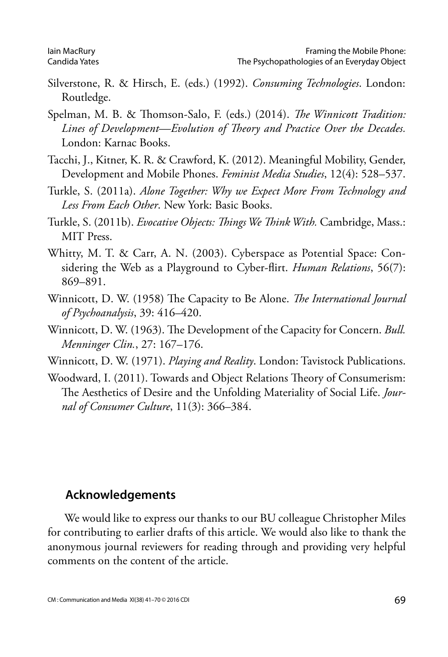- Silverstone, R. & Hirsch, E. (eds.) (1992). *Consuming Technologies*. London: Routledge.
- Spelman, M. B. & Thomson-Salo, F. (eds.) (2014). *The Winnicott Tradition: Lines of Development—Evolution of Theory and Practice Over the Decades.*  London: Karnac Books.
- Tacchi, J., Kitner, K. R. & Crawford, K. (2012). Meaningful Mobility, Gender, Development and Mobile Phones. *Feminist Media Studies*, 12(4): 528–537.
- Turkle, S. (2011a). *Alone Together: Why we Expect More From Technology and Less From Each Other*. New York: Basic Books.
- Turkle, S. (2011b). *Evocative Objects: Things We Think With.* Cambridge, Mass.: MIT Press.
- Whitty, M. T. & Carr, A. N. (2003). Cyberspace as Potential Space: Considering the Web as a Playground to Cyber-flirt. *Human Relations*, 56(7): 869–891.
- Winnicott, D. W. (1958) The Capacity to Be Alone. *The International Journal of Psychoanalysis*, 39: 416–420.
- Winnicott, D. W. (1963). The Development of the Capacity for Concern. *Bull. Menninger Clin.*, 27: 167–176.
- Winnicott, D. W. (1971). *Playing and Reality*. London: Tavistock Publications.
- Woodward, I. (2011). Towards and Object Relations Theory of Consumerism: The Aesthetics of Desire and the Unfolding Materiality of Social Life. *Journal of Consumer Culture*, 11(3): 366–384.

#### **Acknowledgements**

We would like to express our thanks to our BU colleague Christopher Miles for contributing to earlier drafts of this article. We would also like to thank the anonymous journal reviewers for reading through and providing very helpful comments on the content of the article.